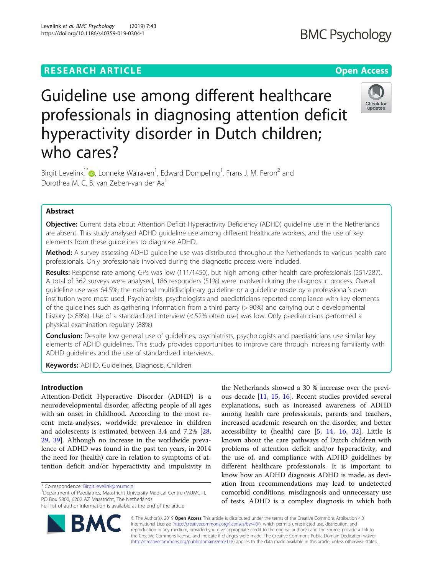# **RESEARCH ARTICLE Example 2018 12:30 THE Open Access**

# Check for undates

# Guideline use among different healthcare professionals in diagnosing attention deficit hyperactivity disorder in Dutch children; who cares?

Birgit Levelink<sup>1\*</sup> $\circledbullet$ [,](http://orcid.org/0000-0001-8238-7031) Lonneke Walraven<sup>1</sup>, Edward Dompeling<sup>1</sup>, Frans J. M. Feron<sup>2</sup> and Dorothea M. C. B. van Zeben-van der Aa<sup>1</sup>

# Abstract

**Objective:** Current data about Attention Deficit Hyperactivity Deficiency (ADHD) quideline use in the Netherlands are absent. This study analysed ADHD guideline use among different healthcare workers, and the use of key elements from these guidelines to diagnose ADHD.

Method: A survey assessing ADHD guideline use was distributed throughout the Netherlands to various health care professionals. Only professionals involved during the diagnostic process were included.

Results: Response rate among GPs was low (111/1450), but high among other health care professionals (251/287). A total of 362 surveys were analysed, 186 responders (51%) were involved during the diagnostic process. Overall guideline use was 64.5%; the national multidisciplinary guideline or a guideline made by a professional's own institution were most used. Psychiatrists, psychologists and paediatricians reported compliance with key elements of the guidelines such as gathering information from a third party (> 90%) and carrying out a developmental history (> 88%). Use of a standardized interview (< 52% often use) was low. Only paediatricians performed a physical examination regularly (88%).

**Conclusion:** Despite low general use of guidelines, psychiatrists, psychologists and paediatricians use similar key elements of ADHD guidelines. This study provides opportunities to improve care through increasing familiarity with ADHD guidelines and the use of standardized interviews.

Keywords: ADHD, Guidelines, Diagnosis, Children

# Introduction

Attention-Deficit Hyperactive Disorder (ADHD) is a neurodevelopmental disorder, affecting people of all ages with an onset in childhood. According to the most recent meta-analyses, worldwide prevalence in children and adolescents is estimated between 3.4 and 7.2% [[28](#page-7-0), [29,](#page-7-0) [39\]](#page-7-0). Although no increase in the worldwide prevalence of ADHD was found in the past ten years, in 2014 the need for (health) care in relation to symptoms of attention deficit and/or hyperactivity and impulsivity in

<sup>1</sup>Department of Paediatrics, Maastricht University Medical Centre (MUMC+), PO Box 5800, 6202 AZ Maastricht, The Netherlands

Full list of author information is available at the end of the article



the Netherlands showed a 30 % increase over the previous decade [[11](#page-7-0), [15](#page-7-0), [16\]](#page-7-0). Recent studies provided several explanations, such as increased awareness of ADHD among health care professionals, parents and teachers, increased academic research on the disorder, and better accessibility to (health) care [[5,](#page-6-0) [14](#page-7-0), [16](#page-7-0), [32\]](#page-7-0). Little is known about the care pathways of Dutch children with problems of attention deficit and/or hyperactivity, and the use of, and compliance with ADHD guidelines by different healthcare professionals. It is important to know how an ADHD diagnosis ADHD is made, as deviation from recommendations may lead to undetected comorbid conditions, misdiagnosis and unnecessary use of tests. ADHD is a complex diagnosis in which both

© The Author(s). 2019 Open Access This article is distributed under the terms of the Creative Commons Attribution 4.0 International License [\(http://creativecommons.org/licenses/by/4.0/](http://creativecommons.org/licenses/by/4.0/)), which permits unrestricted use, distribution, and reproduction in any medium, provided you give appropriate credit to the original author(s) and the source, provide a link to the Creative Commons license, and indicate if changes were made. The Creative Commons Public Domain Dedication waiver [\(http://creativecommons.org/publicdomain/zero/1.0/](http://creativecommons.org/publicdomain/zero/1.0/)) applies to the data made available in this article, unless otherwise stated.

<sup>\*</sup> Correspondence: [Birgit.levelink@mumc.nl](mailto:Birgit.levelink@mumc.nl) <sup>1</sup>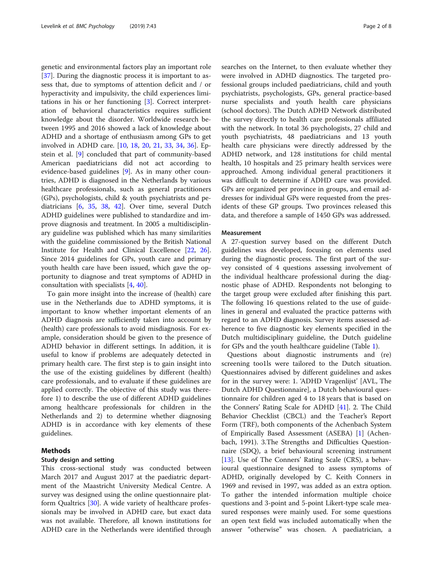genetic and environmental factors play an important role [[37\]](#page-7-0). During the diagnostic process it is important to assess that, due to symptoms of attention deficit and / or hyperactivity and impulsivity, the child experiences limitations in his or her functioning [[3\]](#page-6-0). Correct interpretation of behavioral characteristics requires sufficient knowledge about the disorder. Worldwide research between 1995 and 2016 showed a lack of knowledge about ADHD and a shortage of enthusiasm among GPs to get involved in ADHD care. [\[10](#page-7-0), [18,](#page-7-0) [20](#page-7-0), [21,](#page-7-0) [33](#page-7-0), [34,](#page-7-0) [36](#page-7-0)]. Epstein et al. [\[9](#page-6-0)] concluded that part of community-based American paediatricians did not act according to evidence-based guidelines [[9](#page-6-0)]. As in many other countries, ADHD is diagnosed in the Netherlands by various healthcare professionals, such as general practitioners (GPs), psychologists, child & youth psychiatrists and pediatricians [\[6,](#page-6-0) [35](#page-7-0), [38](#page-7-0), [42](#page-7-0)]. Over time, several Dutch ADHD guidelines were published to standardize and improve diagnosis and treatment. In 2005 a multidisciplinary guideline was published which has many similarities with the guideline commissioned by the British National Institute for Health and Clinical Excellence [[22](#page-7-0), [26](#page-7-0)]. Since 2014 guidelines for GPs, youth care and primary youth health care have been issued, which gave the opportunity to diagnose and treat symptoms of ADHD in consultation with specialists [[4,](#page-6-0) [40\]](#page-7-0).

To gain more insight into the increase of (health) care use in the Netherlands due to ADHD symptoms, it is important to know whether important elements of an ADHD diagnosis are sufficiently taken into account by (health) care professionals to avoid misdiagnosis. For example, consideration should be given to the presence of ADHD behavior in different settings. In addition, it is useful to know if problems are adequately detected in primary health care. The first step is to gain insight into the use of the existing guidelines by different (health) care professionals, and to evaluate if these guidelines are applied correctly. The objective of this study was therefore 1) to describe the use of different ADHD guidelines among healthcare professionals for children in the Netherlands and 2) to determine whether diagnosing ADHD is in accordance with key elements of these guidelines.

# Methods

# Study design and setting

This cross-sectional study was conducted between March 2017 and August 2017 at the paediatric department of the Maastricht University Medical Centre. A survey was designed using the online questionnaire platform Qualtrics [[30\]](#page-7-0). A wide variety of healthcare professionals may be involved in ADHD care, but exact data was not available. Therefore, all known institutions for ADHD care in the Netherlands were identified through searches on the Internet, to then evaluate whether they were involved in ADHD diagnostics. The targeted professional groups included paediatricians, child and youth psychiatrists, psychologists, GPs, general practice-based nurse specialists and youth health care physicians (school doctors). The Dutch ADHD Network distributed the survey directly to health care professionals affiliated with the network. In total 36 psychologists, 27 child and youth psychiatrists, 48 paediatricians and 13 youth health care physicians were directly addressed by the ADHD network, and 128 institutions for child mental health, 10 hospitals and 25 primary health services were approached. Among individual general practitioners it was difficult to determine if ADHD care was provided. GPs are organized per province in groups, and email addresses for individual GPs were requested from the presidents of these GP groups. Two provinces released this data, and therefore a sample of 1450 GPs was addressed.

# Measurement

A 27-question survey based on the different Dutch guidelines was developed, focusing on elements used during the diagnostic process. The first part of the survey consisted of 4 questions assessing involvement of the individual healthcare professional during the diagnostic phase of ADHD. Respondents not belonging to the target group were excluded after finishing this part. The following 16 questions related to the use of guidelines in general and evaluated the practice patterns with regard to an ADHD diagnosis. Survey items assessed adherence to five diagnostic key elements specified in the Dutch multidisciplinary guideline, the Dutch guideline for GPs and the youth healthcare guideline (Table [1](#page-2-0)).

Questions about diagnostic instruments and (re) screening too1ls were tailored to the Dutch situation. Questionnaires advised by different guidelines and askes for in the survey were: 1. 'ADHD Vragenlijst' [AVL, The Dutch ADHD Questionnaire], a Dutch behavioural questionnaire for children aged 4 to 18 years that is based on the Conners' Rating Scale for ADHD [[41\]](#page-7-0). 2. The Child Behavior Checklist (CBCL) and the Teacher's Report Form (TRF), both components of the Achenbach System of Empirically Based Assessment (ASEBA) [[1\]](#page-6-0) (Achenbach, 1991). 3.The Strengths and Difficulties Questionnaire (SDQ), a brief behavioural screening instrument [[13\]](#page-7-0). Use of The Conners' Rating Scale (CRS), a behavioural questionnaire designed to assess symptoms of ADHD, originally developed by C. Keith Conners in 1969 and revised in 1997, was added as an extra option. To gather the intended information multiple choice questions and 3-point and 5-point Likert-type scale measured responses were mainly used. For some questions an open text field was included automatically when the answer "otherwise" was chosen. A paediatrician, a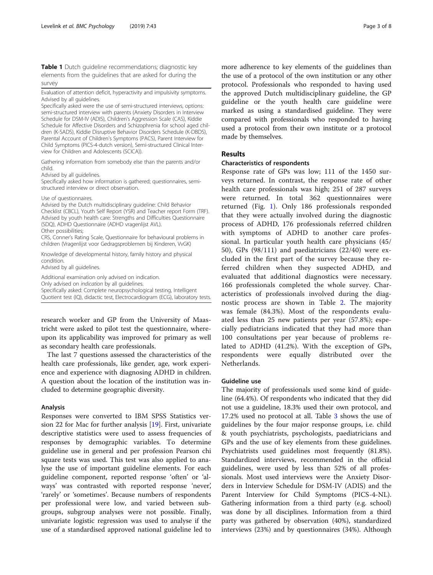<span id="page-2-0"></span>Table 1 Dutch quideline recommendations; diagnostic key elements from the guidelines that are asked for during the survey

Evaluation of attention deficit, hyperactivity and impulsivity symptoms. Advised by all guidelines.

Specifically asked were the use of semi-structured interviews, options: semi-structured interview with parents (Anxiety Disorders in Interview Schedule for DSM-IV (ADIS), Children's Aggression Scale (CAS), Kiddie Schedule for Affective Disorders and Schizophrenia for school aged children (K-SADS), Kiddie Disruptive Behavior Disorders Schedule (K-DBDS), Parental Account of Children's Symptoms (PACS), Parent Interview for Child Symptoms (PICS-4-dutch version), Semi-structured Clinical Interview for Children and Adolescents (SCICA)).

Gathering information from somebody else than the parents and/or child.

Advised by all guidelines.

Specifically asked how information is gathered; questionnaires, semistructured interview or direct observation.

Use of questionnaires.

Advised by the Dutch multidisciplinary guideline: Child Behavior Checklist (CBCL), Youth Self Report (YSR) and Teacher report Form (TRF). Advised by youth health care: Strengths and Difficulties Questionnaire (SDQ), ADHD Questionnaire (ADHD vragenlijst AVL). Other possibilities;

CRS, Conner's Rating Scale, Questionnaire for behavioural problems in children (Vragenlijst voor Gedragsproblemen bij Kinderen, VvGK)

Knowledge of developmental history, family history and physical condition.

Advised by all guidelines.

Additional examination only advised on indication.

Only advised on indication by all guidelines. Specifically asked: Complete neuropsychological testing, Intelligent

Quotient test (IQ), didactic test, Electrocardiogram (ECG), laboratory tests.

research worker and GP from the University of Maastricht were asked to pilot test the questionnaire, whereupon its applicability was improved for primary as well as secondary health care professionals.

The last 7 questions assessed the characteristics of the health care professionals, like gender, age, work experience and experience with diagnosing ADHD in children. A question about the location of the institution was included to determine geographic diversity.

# Analysis

Responses were converted to IBM SPSS Statistics version 22 for Mac for further analysis [\[19](#page-7-0)]. First, univariate descriptive statistics were used to assess frequencies of responses by demographic variables. To determine guideline use in general and per profession Pearson chi square tests was used. This test was also applied to analyse the use of important guideline elements. For each guideline component, reported response 'often' or 'always' was contrasted with reported response 'never', 'rarely' or 'sometimes'. Because numbers of respondents per professional were low, and varied between subgroups, subgroup analyses were not possible. Finally, univariate logistic regression was used to analyse if the use of a standardised approved national guideline led to

more adherence to key elements of the guidelines than the use of a protocol of the own institution or any other protocol. Professionals who responded to having used the approved Dutch multidisciplinary guideline, the GP guideline or the youth health care guideline were marked as using a standardised guideline. They were compared with professionals who responded to having used a protocol from their own institute or a protocol made by themselves.

# Results

# Characteristics of respondents

Response rate of GPs was low; 111 of the 1450 surveys returned. In contrast, the response rate of other health care professionals was high; 251 of 287 surveys were returned. In total 362 questionnaires were returned (Fig. [1](#page-3-0)). Only 186 professionals responded that they were actually involved during the diagnostic process of ADHD, 176 professionals referred children with symptoms of ADHD to another care professional. In particular youth health care physicians (45/ 50), GPs (98/111) and paediatricians (22/40) were excluded in the first part of the survey because they referred children when they suspected ADHD, and evaluated that additional diagnostics were necessary. 166 professionals completed the whole survey. Characteristics of professionals involved during the diagnostic process are shown in Table [2](#page-3-0). The majority was female (84.3%). Most of the respondents evaluated less than 25 new patients per year (57.8%); especially pediatricians indicated that they had more than 100 consultations per year because of problems related to ADHD (41.2%). With the exception of GPs, respondents were equally distributed over the Netherlands.

# Guideline use

The majority of professionals used some kind of guideline (64.4%). Of respondents who indicated that they did not use a guideline, 18.3% used their own protocol, and 17.2% used no protocol at all. Table [3](#page-4-0) shows the use of guidelines by the four major response groups, i.e. child & youth psychiatrists, psychologists, paediatricians and GPs and the use of key elements from these guidelines. Psychiatrists used guidelines most frequently (81.8%). Standardized interviews, recommended in the official guidelines, were used by less than 52% of all professionals. Most used interviews were the Anxiety Disorders in Interview Schedule for DSM-IV (ADIS) and the Parent Interview for Child Symptoms (PICS-4-NL). Gathering information from a third party (e.g. school) was done by all disciplines. Information from a third party was gathered by observation (40%), standardized interviews (23%) and by questionnaires (34%). Although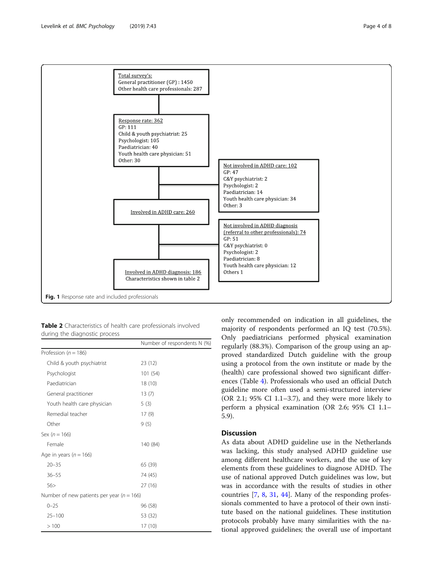<span id="page-3-0"></span>

| <b>Table 2</b> Characteristics of health care professionals involved |  |  |
|----------------------------------------------------------------------|--|--|
| during the diagnostic process                                        |  |  |

|                                               | Number of respondents N (%) |
|-----------------------------------------------|-----------------------------|
| Profession ( $n = 186$ )                      |                             |
| Child & youth psychiatrist                    | 23 (12)                     |
| Psychologist                                  | 101(54)                     |
| Paediatrician                                 | 18 (10)                     |
| General practitioner                          | 13(7)                       |
| Youth health care physician                   | 5(3)                        |
| Remedial teacher                              | 17(9)                       |
| Other                                         | 9(5)                        |
| Sex ( $n = 166$ )                             |                             |
| Female                                        | 140 (84)                    |
| Age in years ( $n = 166$ )                    |                             |
| $20 - 35$                                     | 65 (39)                     |
| $36 - 55$                                     | 74 (45)                     |
| 56>                                           | 27(16)                      |
| Number of new patients per year ( $n = 166$ ) |                             |
| $0 - 25$                                      | 96 (58)                     |
| $25 - 100$                                    | 53 (32)                     |
| >100                                          | 17 (10)                     |

only recommended on indication in all guidelines, the majority of respondents performed an IQ test (70.5%). Only paediatricians performed physical examination regularly (88.3%). Comparison of the group using an approved standardized Dutch guideline with the group using a protocol from the own institute or made by the (health) care professional showed two significant differences (Table [4\)](#page-5-0). Professionals who used an official Dutch guideline more often used a semi-structured interview (OR 2.1; 95% CI 1.1–3.7), and they were more likely to perform a physical examination (OR 2.6; 95% CI 1.1– 5.9).

# **Discussion**

As data about ADHD guideline use in the Netherlands was lacking, this study analysed ADHD guideline use among different healthcare workers, and the use of key elements from these guidelines to diagnose ADHD. The use of national approved Dutch guidelines was low, but was in accordance with the results of studies in other countries [\[7](#page-6-0), [8](#page-6-0), [31,](#page-7-0) [44](#page-7-0)]. Many of the responding professionals commented to have a protocol of their own institute based on the national guidelines. These institution protocols probably have many similarities with the national approved guidelines; the overall use of important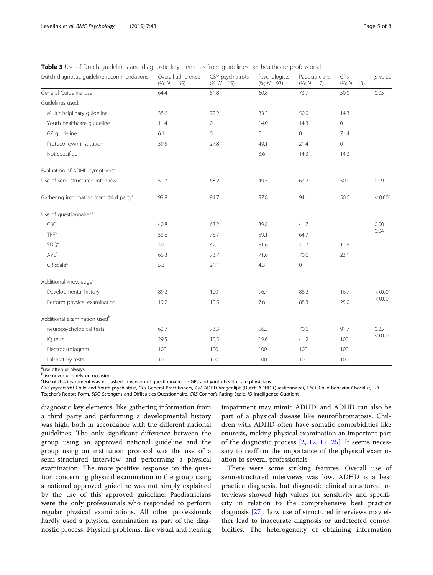<span id="page-4-0"></span>Table 3 Use of Dutch guidelines and diagnostic key elements from guidelines per healthcare professional

| Dutch diagnostic guideline recommendations          | Overall adherence<br>$(%; N = 169)$ | C&Y psychiatrists<br>$(%; N = 19)$ | Psychologists<br>$(%; N = 93)$ | Paediatricians<br>$(%; N = 17)$ | GPs<br>$(%; N = 13)$ | $p$ value          |
|-----------------------------------------------------|-------------------------------------|------------------------------------|--------------------------------|---------------------------------|----------------------|--------------------|
| General Guideline use                               | 64.4                                | 81.8                               | 60.8                           | 73.7                            | 50.0                 | 0.05               |
| Guidelines used:                                    |                                     |                                    |                                |                                 |                      |                    |
| Multidisciplinary guideline                         | 38.6                                | 72.2                               | 33.3                           | 50.0                            | 14.3                 |                    |
| Youth healthcare guideline                          | 11.4                                | 0                                  | 14.0                           | 14.3                            | $\circ$              |                    |
| GP guideline                                        | 6.1                                 | $\overline{0}$                     | $\overline{0}$                 | $\circ$                         | 71.4                 |                    |
| Protocol own institution                            | 39.5                                | 27.8                               | 49.1                           | 21.4                            | $\mathsf{O}\xspace$  |                    |
| Not specified                                       |                                     |                                    | 3.6                            | 14.3                            | 14.3                 |                    |
| Evaluation of ADHD symptoms <sup>a</sup>            |                                     |                                    |                                |                                 |                      |                    |
| Use of semi structured interview                    | 51.7                                | 68.2                               | 49.5                           | 63.2                            | 50.0                 | 0.09               |
| Gathering information from third party <sup>a</sup> | 92,8                                | 94.7                               | 97.8                           | 94.1                            | 50.0                 | < 0.001            |
| Use of questionnaires <sup>a</sup>                  |                                     |                                    |                                |                                 |                      |                    |
| CBCL <sup>c</sup>                                   | 40.8                                | 63.2                               | 39.8                           | 41.7                            |                      | 0.001<br>0.04      |
| TRF <sup>c</sup>                                    | 53.8                                | 73.7                               | 59.1                           | 64.7                            |                      |                    |
| SDQ <sup>a</sup>                                    | 49,1                                | 42,1                               | 51.6                           | 41.7                            | 11.8                 |                    |
| AVL <sup>a</sup>                                    | 66.3                                | 73.7                               | 71.0                           | 70.6                            | 23.1                 |                    |
| $CR$ -scale <sup>c</sup>                            | 5.3                                 | 21.1                               | 4.3                            | $\mathsf{O}\xspace$             |                      |                    |
| Additional knowledge <sup>a</sup>                   |                                     |                                    |                                |                                 |                      |                    |
| Developmental history                               | 89.2                                | 100                                | 96.7                           | 88.2                            | 16.7                 | < 0.001<br>< 0.001 |
| Perform physical examination                        | 19.2                                | 10.5                               | 7.6                            | 88.3                            | 25,0                 |                    |
| Additional examination used <sup>b</sup>            |                                     |                                    |                                |                                 |                      |                    |
| neuropsychological tests                            | 62.7                                | 73.3                               | 56.5                           | 70.6                            | 91.7                 | 0.25<br>< 0.001    |
| IQ tests                                            | 29,5                                | 10,5                               | 19.6                           | 41.2                            | 100                  |                    |
| Electrocardiogram                                   | 100                                 | 100                                | 100                            | 100                             | 100                  |                    |
| Laboratory tests                                    | 100                                 | 100                                | 100                            | 100                             | 100                  |                    |

<sup>a</sup>use often or always

<sup>b</sup>use never or rarely on occasion

Use of this instrument was not asked in version of questionnaire for GPs and youth health care physicians

C&Y psychiatrist Child and Youth psychiatrist, GPs General Practitioners, AVL ADHD Vragenlijst (Dutch ADHD Questionnaire), CBCL Child Behavior Checklist, TRF Teacher's Report Form, SDQ Strengths and Difficulties Questionnaire, CRS Connor's Rating Scale, IQ Intelligence Quotient

diagnostic key elements, like gathering information from a third party and performing a developmental history was high, both in accordance with the different national guidelines. The only significant difference between the group using an approved national guideline and the group using an institution protocol was the use of a semi-structured interview and performing a physical examination. The more positive response on the question concerning physical examination in the group using a national approved guideline was not simply explained by the use of this approved guideline. Paediatricians were the only professionals who responded to perform regular physical examinations. All other professionals hardly used a physical examination as part of the diagnostic process. Physical problems, like visual and hearing

impairment may mimic ADHD, and ADHD can also be part of a physical disease like neurofibromatosis. Children with ADHD often have somatic comorbidities like enuresis, making physical examination an important part of the diagnostic process [\[2](#page-6-0), [12,](#page-7-0) [17](#page-7-0), [25\]](#page-7-0). It seems necessary to reaffirm the importance of the physical examination to several professionals.

There were some striking features. Overall use of semi-structured interviews was low. ADHD is a best practice diagnosis, but diagnostic clinical structured interviews showed high values for sensitivity and specificity in relation to the comprehensive best practice diagnosis [[27\]](#page-7-0). Low use of structured interviews may either lead to inaccurate diagnosis or undetected comorbidities. The heterogeneity of obtaining information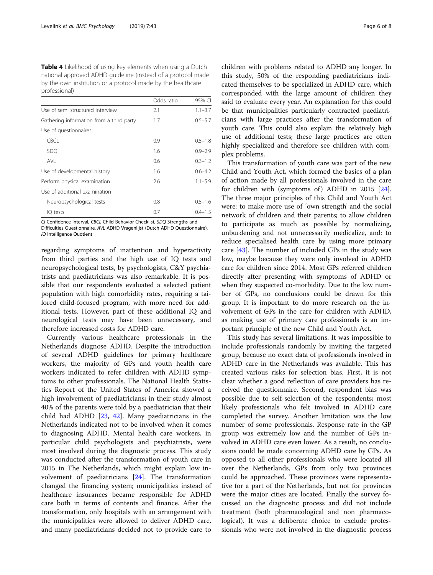<span id="page-5-0"></span>Table 4 Likelihood of using key elements when using a Dutch national approved ADHD guideline (instead of a protocol made by the own institution or a protocol made by the healthcare professional)

|                                          | Odds ratio | 95% CI      |
|------------------------------------------|------------|-------------|
| Use of semi structured interview         | 2.1        | $1.1 - 3.7$ |
| Gathering information from a third party | 1.7        | $0.5 - 5.7$ |
| Use of questionnaires                    |            |             |
| <b>CBCL</b>                              | 0.9        | $0.5 - 1.8$ |
| <b>SDO</b>                               | 1.6        | $0.9 - 2.9$ |
| <b>AVL</b>                               | 0.6        | $0.3 - 1.2$ |
| Use of developmental history             | 1.6        | $0.6 - 4.2$ |
| Perform physical examination             | 2.6        | $1.1 - 5.9$ |
| Use of additional examination            |            |             |
| Neuropsychological tests                 | 0.8        | $0.5 - 1.6$ |
| IO tests                                 | 0.7        | $0.4 - 1.5$ |

CI Confidence Interval, CBCL Child Behavior Checklist, SDQ Strengths and Difficulties Questionnaire, AVL ADHD Vragenlijst (Dutch ADHD Questionnaire),

IQ Intelligence Quotient

regarding symptoms of inattention and hyperactivity from third parties and the high use of IQ tests and neuropsychological tests, by psychologists, C&Y psychiatrists and paediatricians was also remarkable. It is possible that our respondents evaluated a selected patient population with high comorbidity rates, requiring a tailored child-focused program, with more need for additional tests. However, part of these additional IQ and neurological tests may have been unnecessary, and therefore increased costs for ADHD care.

Currently various healthcare professionals in the Netherlands diagnose ADHD. Despite the introduction of several ADHD guidelines for primary healthcare workers, the majority of GPs and youth health care workers indicated to refer children with ADHD symptoms to other professionals. The National Health Statistics Report of the United States of America showed a high involvement of paediatricians; in their study almost 40% of the parents were told by a paediatrician that their child had ADHD [\[23](#page-7-0), [42](#page-7-0)]. Many paediatricians in the Netherlands indicated not to be involved when it comes to diagnosing ADHD. Mental health care workers, in particular child psychologists and psychiatrists, were most involved during the diagnostic process. This study was conducted after the transformation of youth care in 2015 in The Netherlands, which might explain low involvement of paediatricians [\[24](#page-7-0)]. The transformation changed the financing system; municipalities instead of healthcare insurances became responsible for ADHD care both in terms of contents and finance. After the transformation, only hospitals with an arrangement with the municipalities were allowed to deliver ADHD care, and many paediatricians decided not to provide care to

children with problems related to ADHD any longer. In this study, 50% of the responding paediatricians indicated themselves to be specialized in ADHD care, which corresponded with the large amount of children they said to evaluate every year. An explanation for this could be that municipalities particularly contracted paediatricians with large practices after the transformation of youth care. This could also explain the relatively high use of additional tests; these large practices are often highly specialized and therefore see children with complex problems.

This transformation of youth care was part of the new Child and Youth Act, which formed the basics of a plan of action made by all professionals involved in the care for children with (symptoms of) ADHD in 2015  $[24]$  $[24]$ . The three major principles of this Child and Youth Act were: to make more use of 'own strength' and the social network of children and their parents; to allow children to participate as much as possible by normalizing, unburdening and not unnecessarily medicalize, and: to reduce specialised health care by using more primary care [\[43\]](#page-7-0). The number of included GPs in the study was low, maybe because they were only involved in ADHD care for children since 2014. Most GPs referred children directly after presenting with symptoms of ADHD or when they suspected co-morbidity. Due to the low number of GPs, no conclusions could be drawn for this group. It is important to do more research on the involvement of GPs in the care for children with ADHD, as making use of primary care professionals is an important principle of the new Child and Youth Act.

This study has several limitations. It was impossible to include professionals randomly by inviting the targeted group, because no exact data of professionals involved in ADHD care in the Netherlands was available. This has created various risks for selection bias. First, it is not clear whether a good reflection of care providers has received the questionnaire. Second, respondent bias was possible due to self-selection of the respondents; most likely professionals who felt involved in ADHD care completed the survey. Another limitation was the low number of some professionals. Response rate in the GP group was extremely low and the number of GPs involved in ADHD care even lower. As a result, no conclusions could be made concerning ADHD care by GPs. As opposed to all other professionals who were located all over the Netherlands, GPs from only two provinces could be approached. These provinces were representative for a part of the Netherlands, but not for provinces were the major cities are located. Finally the survey focussed on the diagnostic process and did not include treatment (both pharmacological and non pharmacological). It was a deliberate choice to exclude professionals who were not involved in the diagnostic process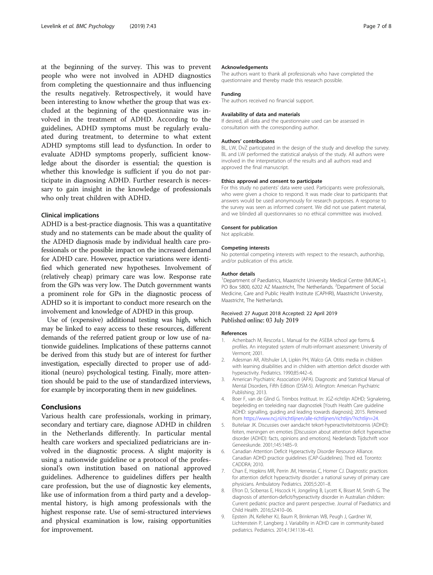<span id="page-6-0"></span>at the beginning of the survey. This was to prevent people who were not involved in ADHD diagnostics from completing the questionnaire and thus influencing the results negatively. Retrospectively, it would have been interesting to know whether the group that was excluded at the beginning of the questionnaire was involved in the treatment of ADHD. According to the guidelines, ADHD symptoms must be regularly evaluated during treatment, to determine to what extent ADHD symptoms still lead to dysfunction. In order to evaluate ADHD symptoms properly, sufficient knowledge about the disorder is essential; the question is whether this knowledge is sufficient if you do not participate in diagnosing ADHD. Further research is necessary to gain insight in the knowledge of professionals who only treat children with ADHD.

# Clinical implications

ADHD is a best-practice diagnosis. This was a quantitative study and no statements can be made about the quality of the ADHD diagnosis made by individual health care professionals or the possible impact on the increased demand for ADHD care. However, practice variations were identified which generated new hypotheses. Involvement of (relatively cheap) primary care was low. Response rate from the GPs was very low. The Dutch government wants a prominent role for GPs in the diagnostic process of ADHD so it is important to conduct more research on the involvement and knowledge of ADHD in this group.

Use of (expensive) additional testing was high, which may be linked to easy access to these resources, different demands of the referred patient group or low use of nationwide guidelines. Implications of these patterns cannot be derived from this study but are of interest for further investigation, especially directed to proper use of additional (neuro) psychological testing. Finally, more attention should be paid to the use of standardized interviews, for example by incorporating them in new guidelines.

# Conclusions

Various health care professionals, working in primary, secondary and tertiary care, diagnose ADHD in children in the Netherlands differently. In particular mental health care workers and specialized pediatricians are involved in the diagnostic process. A slight majority is using a nationwide guideline or a protocol of the professional's own institution based on national approved guidelines. Adherence to guidelines differs per health care profession, but the use of diagnostic key elements, like use of information from a third party and a developmental history, is high among professionals with the highest response rate. Use of semi-structured interviews and physical examination is low, raising opportunities for improvement.

#### Acknowledgements

The authors want to thank all professionals who have completed the questionnaire and thereby made this research possible.

#### Funding

The authors received no financial support.

#### Availability of data and materials

If desired, all data and the questionnaire used can be assessed in consultation with the corresponding author.

### Authors' contributions

BL, LW, DvZ participated in the design of the study and devellop the survey. BL and LW performed the statistical analysis of the study. All authors were involved in the interpretation of the results and all authors read and approved the final manuscript.

# Ethics approval and consent to participate

For this study no patients' data were used. Participants were professionals, who were given a choice to respond. It was made clear to participants that answers would be used anonymously for research purposes. A response to the survey was seen as informed consent. We did not use patient material, and we blinded all questionnaires so no ethical committee was involved.

#### Consent for publication

Not applicable.

#### Competing interests

No potential competing interests with respect to the research, authorship, and/or publication of this article.

### Author details

<sup>1</sup>Department of Paediatrics, Maastricht University Medical Centre (MUMC+), PO Box 5800, 6202 AZ Maastricht, The Netherlands. <sup>2</sup>Department of Social Medicine, Care and Public Health Institute (CAPHRI), Maastricht University, Maastricht, The Netherlands.

# Received: 27 August 2018 Accepted: 22 April 2019 Published online: 03 July 2019

#### References

- 1. Achenbach M, Rescorla L, Manual for the ASEBA school age forms & profiles. An integrated system of multi-informant assessment: University of Vermont; 2001.
- 2. Adesman AR, Altshuler LA, Lipkin PH, Walco GA. Otitis media in children with learning disabilities and in children with attention deficit disorder with hyperactivity. Pediatrics. 1990;85:442–6.
- 3. American Psychiatric Association (APA). Diagnostic and Statistical Manual of Mental Disorders, Fifth Edition (DSM-5). Arlington: American Psychiatric Publishing; 2013.
- 4. Boer F, van de Glind G. Trimbos Instituut. In: JGZ-richtlijn ADHD; Signalering, begeleiding en toeleiding naar diagnostiek [Youth Health Care guideline ADHD: signalling, guiding and leading towards diagnosis]; 2015. Retrieved from <https://www.ncj.nl/richtlijnen/alle-richtlijnen/richtlijn/?richtlijn=24>.
- 5. Buitelaar JK. Discussies over aandacht tekort-hyperactiviteitstoornis (ADHD): feiten, meningen en emoties [Discussion about attention deficit hyperactive disorder (ADHD): facts, opinions and emotions]. Nederlands Tijdschrift voor Geneeskunde. 2001;145:1485–9.
- 6. Canadian Attention Deficit Hyperactivity Disorder Resource Alliance. Canadian ADHD practice guidelines (CAP-Guidelines). Third ed. Toronto: CADDRA; 2010.
- 7. Chan E, Hopkins MR, Perrin JM, Herrerias C, Homer CJ. Diagnostic practices for attention deficit hyperactivity disorder: a national survey of primary care physicians. Ambulatory Pediatrics. 2005;5:201–8.
- 8. Efron D, Sciberras E, Hiscock H, Jongeling B, Lycett K, Bisset M, Smith G. The diagnosis of attention-deficit/hyperactivity disorder in Australian children: Current pediatric practice and parent perspective. Journal of Paediatrics and Child Health. 2016;52:410–06.
- 9. Epstein JN, Kelleher KJ, Baum R, Brinkman WB, Peugh J, Gardner W, Lichtenstein P, Langberg J. Variability in ADHD care in community-based pediatrics. Pediatrics. 2014;134:1136–43.